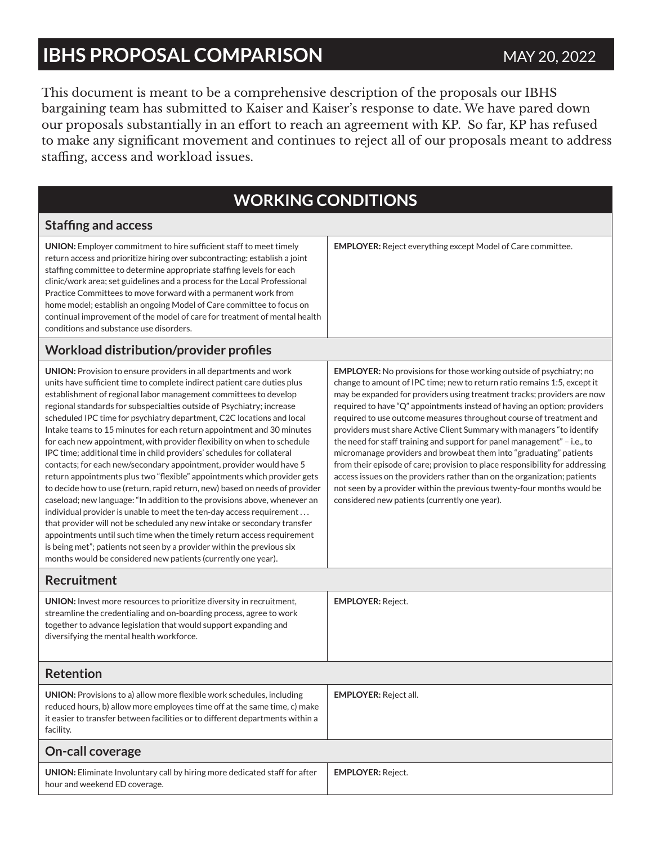### **IBHS PROPOSAL COMPARISON** MAY 20, 2022

This document is meant to be a comprehensive description of the proposals our IBHS bargaining team has submitted to Kaiser and Kaiser's response to date. We have pared down our proposals substantially in an effort to reach an agreement with KP. So far, KP has refused to make any significant movement and continues to reject all of our proposals meant to address staffing, access and workload issues.

### **WORKING CONDITIONS**

#### **Staffing and access UNION:** Employer commitment to hire sufficient staff to meet timely return access and prioritize hiring over subcontracting; establish a joint staffing committee to determine appropriate staffing levels for each clinic/work area; set guidelines and a process for the Local Professional Practice Committees to move forward with a permanent work from home model; establish an ongoing Model of Care committee to focus on continual improvement of the model of care for treatment of mental health conditions and substance use disorders. **EMPLOYER:** Reject everything except Model of Care committee. **Workload distribution/provider profiles UNION:** Provision to ensure providers in all departments and work units have sufficient time to complete indirect patient care duties plus establishment of regional labor management committees to develop regional standards for subspecialties outside of Psychiatry; increase scheduled IPC time for psychiatry department, C2C locations and local Intake teams to 15 minutes for each return appointment and 30 minutes for each new appointment, with provider flexibility on when to schedule IPC time; additional time in child providers' schedules for collateral contacts; for each new/secondary appointment, provider would have 5 return appointments plus two "flexible" appointments which provider gets to decide how to use (return, rapid return, new) based on needs of provider caseload; new language: "In addition to the provisions above, whenever an individual provider is unable to meet the ten-day access requirement . . . that provider will not be scheduled any new intake or secondary transfer appointments until such time when the timely return access requirement is being met"; patients not seen by a provider within the previous six months would be considered new patients (currently one year). **EMPLOYER:** No provisions for those working outside of psychiatry; no change to amount of IPC time; new to return ratio remains 1:5, except it may be expanded for providers using treatment tracks; providers are now required to have "Q" appointments instead of having an option; providers required to use outcome measures throughout course of treatment and providers must share Active Client Summary with managers "to identify the need for staff training and support for panel management" – i.e., to micromanage providers and browbeat them into "graduating" patients from their episode of care; provision to place responsibility for addressing access issues on the providers rather than on the organization; patients not seen by a provider within the previous twenty-four months would be considered new patients (currently one year). **Recruitment UNION:** Invest more resources to prioritize diversity in recruitment, streamline the credentialing and on-boarding process, agree to work together to advance legislation that would support expanding and diversifying the mental health workforce. **EMPLOYER:** Reject. **Retention UNION:** Provisions to a) allow more flexible work schedules, including reduced hours, b) allow more employees time off at the same time, c) make it easier to transfer between facilities or to different departments within a facility. **EMPLOYER:** Reject all. **On-call coverage UNION:** Eliminate Involuntary call by hiring more dedicated staff for after hour and weekend ED coverage. **EMPLOYER:** Reject.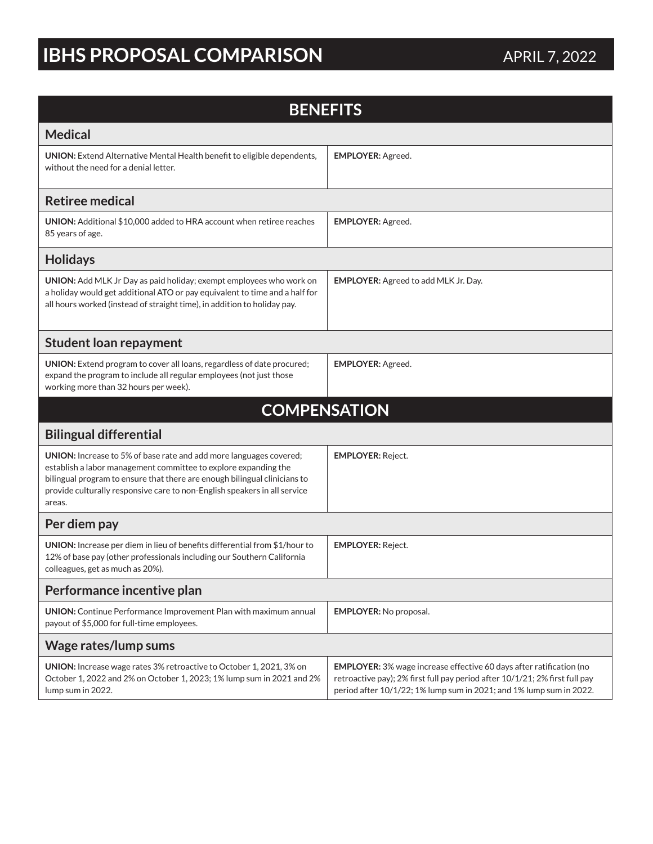# **IBHS PROPOSAL COMPARISON** APRIL 7, 2022

| <b>BENEFITS</b>                                                                                                                                                                                                                                                                                           |                                                                                                                                                                                                                                  |
|-----------------------------------------------------------------------------------------------------------------------------------------------------------------------------------------------------------------------------------------------------------------------------------------------------------|----------------------------------------------------------------------------------------------------------------------------------------------------------------------------------------------------------------------------------|
| <b>Medical</b>                                                                                                                                                                                                                                                                                            |                                                                                                                                                                                                                                  |
| <b>UNION:</b> Extend Alternative Mental Health benefit to eligible dependents,<br>without the need for a denial letter.                                                                                                                                                                                   | <b>EMPLOYER: Agreed.</b>                                                                                                                                                                                                         |
| <b>Retiree medical</b>                                                                                                                                                                                                                                                                                    |                                                                                                                                                                                                                                  |
| <b>UNION:</b> Additional \$10,000 added to HRA account when retiree reaches<br>85 years of age.                                                                                                                                                                                                           | <b>EMPLOYER: Agreed.</b>                                                                                                                                                                                                         |
| <b>Holidays</b>                                                                                                                                                                                                                                                                                           |                                                                                                                                                                                                                                  |
| UNION: Add MLK Jr Day as paid holiday; exempt employees who work on<br>a holiday would get additional ATO or pay equivalent to time and a half for<br>all hours worked (instead of straight time), in addition to holiday pay.                                                                            | <b>EMPLOYER:</b> Agreed to add MLK Jr. Day.                                                                                                                                                                                      |
| <b>Student loan repayment</b>                                                                                                                                                                                                                                                                             |                                                                                                                                                                                                                                  |
| UNION: Extend program to cover all loans, regardless of date procured;<br>expand the program to include all regular employees (not just those<br>working more than 32 hours per week).                                                                                                                    | <b>EMPLOYER: Agreed.</b>                                                                                                                                                                                                         |
| <b>COMPENSATION</b>                                                                                                                                                                                                                                                                                       |                                                                                                                                                                                                                                  |
| <b>Bilingual differential</b>                                                                                                                                                                                                                                                                             |                                                                                                                                                                                                                                  |
| UNION: Increase to 5% of base rate and add more languages covered;<br>establish a labor management committee to explore expanding the<br>bilingual program to ensure that there are enough bilingual clinicians to<br>provide culturally responsive care to non-English speakers in all service<br>areas. | <b>EMPLOYER: Reject.</b>                                                                                                                                                                                                         |
| Per diem pay                                                                                                                                                                                                                                                                                              |                                                                                                                                                                                                                                  |
| UNION: Increase per diem in lieu of benefits differential from \$1/hour to<br>12% of base pay (other professionals including our Southern California<br>colleagues, get as much as 20%).                                                                                                                  | <b>EMPLOYER: Reject.</b>                                                                                                                                                                                                         |
| Performance incentive plan                                                                                                                                                                                                                                                                                |                                                                                                                                                                                                                                  |
| <b>UNION:</b> Continue Performance Improvement Plan with maximum annual<br>payout of \$5,000 for full-time employees.                                                                                                                                                                                     | <b>EMPLOYER: No proposal.</b>                                                                                                                                                                                                    |
| Wage rates/lump sums                                                                                                                                                                                                                                                                                      |                                                                                                                                                                                                                                  |
| UNION: Increase wage rates 3% retroactive to October 1, 2021, 3% on<br>October 1, 2022 and 2% on October 1, 2023; 1% lump sum in 2021 and 2%<br>lump sum in 2022.                                                                                                                                         | <b>EMPLOYER:</b> 3% wage increase effective 60 days after ratification (no<br>retroactive pay); 2% first full pay period after 10/1/21; 2% first full pay<br>period after 10/1/22; 1% lump sum in 2021; and 1% lump sum in 2022. |